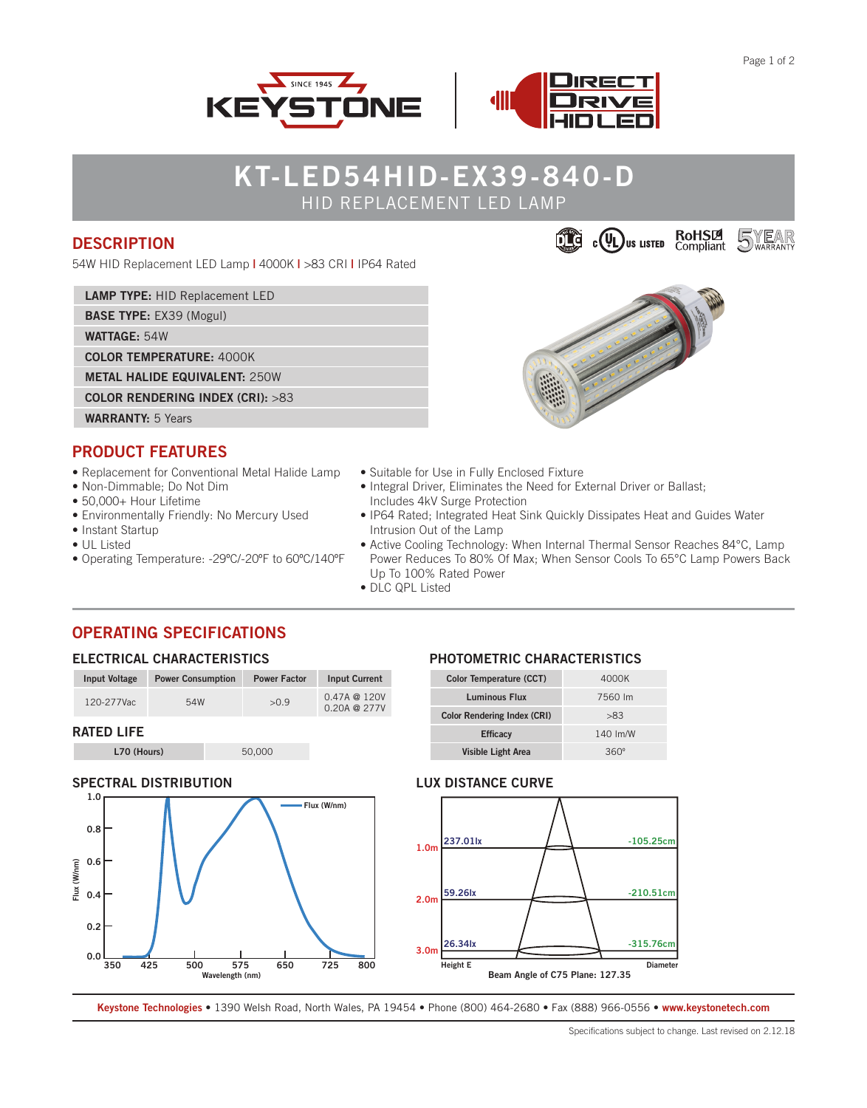



# **KT-LED54HID-EX39-840-D** HID REPLACEMENT LED LAMP

### **DESCRIPTION**

54W HID Replacement LED Lamp **|** 4000K **|** >83 CRI **|** IP64 Rated

|  | <b>LAMP TYPE: HID Replacement LED</b> |
|--|---------------------------------------|
|--|---------------------------------------|

**BASE TYPE:** EX39 (Mogul)

**WATTAGE:** 54W

**COLOR TEMPERATURE:** 4000K

**METAL HALIDE EQUIVALENT:** 250W

**COLOR RENDERING INDEX (CRI):** >83



### **PRODUCT FEATURES**

- Replacement for Conventional Metal Halide Lamp
- Non-Dimmable; Do Not Dim
- 50,000+ Hour Lifetime
- Environmentally Friendly: No Mercury Used
- Instant Startup
- UL Listed
- Operating Temperature: -29ºC/-20ºF to 60ºC/140ºF
- Suitable for Use in Fully Enclosed Fixture
- Integral Driver, Eliminates the Need for External Driver or Ballast; Includes 4kV Surge Protection
- IP64 Rated; Integrated Heat Sink Quickly Dissipates Heat and Guides Water Intrusion Out of the Lamp
- Active Cooling Technology: When Internal Thermal Sensor Reaches 84°C, Lamp Power Reduces To 80% Of Max; When Sensor Cools To 65°C Lamp Powers Back Up To 100% Rated Power
- DLC QPL Listed

### **OPERATING SPECIFICATIONS**

#### **ELECTRICAL CHARACTERISTICS**

| Input Voltage     | <b>Power Consumption</b> | <b>Power Factor</b> | <b>Input Current</b>                       |
|-------------------|--------------------------|---------------------|--------------------------------------------|
| 120-277Vac        | 54W                      | >0.9                | $0.47A \ @ \ 120V$<br>$0.20A \otimes 277V$ |
| <b>RATED LIFE</b> |                          |                     |                                            |

**L70 (Hours)** 50,000

### **SPECTRAL DISTRIBUTION**



### **PHOTOMETRIC CHARACTERISTICS**

| Color Temperature (CCT)            | 4000K       |  |
|------------------------------------|-------------|--|
| Luminous Flux                      | 7560 lm     |  |
| <b>Color Rendering Index (CRI)</b> | >83         |  |
| <b>Efficacy</b>                    | 140 Im/W    |  |
| <b>Visible Light Area</b>          | $360^\circ$ |  |

#### **LUX DISTANCE CURVE**



**Keystone Technologies •** 1390 Welsh Road, North Wales, PA 19454 **•** Phone (800) 464-2680 **•** Fax (888) 966-0556 • **www.keystonetech.com**



Specifications subject to change. Last revised on 2.12.18